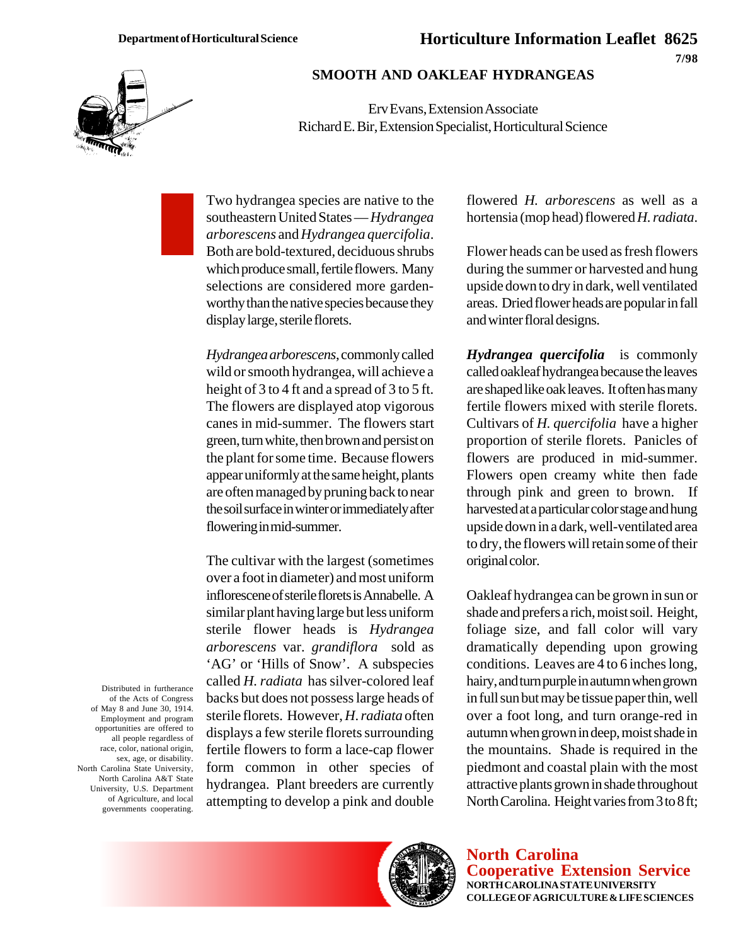## **Horticulture Information Leaflet 8625 7/98**



## **SMOOTH AND OAKLEAF HYDRANGEAS**

Erv Evans, Extension Associate Richard E. Bir, Extension Specialist, Horticultural Science

Two hydrangea species are native to the southeastern United States — *Hydrangea arborescens* and *Hydrangea quercifolia*. Both are bold-textured, deciduous shrubs which produce small, fertile flowers. Many selections are considered more gardenworthy than the native species because they display large, sterile florets.

*Hydrangea arborescens*, commonly called wild or smooth hydrangea, will achieve a height of 3 to 4 ft and a spread of 3 to 5 ft. The flowers are displayed atop vigorous canes in mid-summer. The flowers start green, turn white, then brown and persist on the plant for some time. Because flowers appear uniformly at the same height, plants are often managed by pruning back to near the soil surface in winter or immediately after flowering in mid-summer.

The cultivar with the largest (sometimes over a foot in diameter) and most uniform inflorescene of sterile florets is Annabelle. A similar plant having large but less uniform sterile flower heads is *Hydrangea arborescens* var. *grandiflora* sold as 'AG' or 'Hills of Snow'. A subspecies called *H. radiata* has silver-colored leaf backs but does not possess large heads of sterile florets. However, *H*. *radiata* often displays a few sterile florets surrounding fertile flowers to form a lace-cap flower form common in other species of hydrangea. Plant breeders are currently attempting to develop a pink and double

flowered *H. arborescens* as well as a hortensia (mop head) flowered *H. radiata*.

Flower heads can be used as fresh flowers during the summer or harvested and hung upside down to dry in dark, well ventilated areas. Dried flower heads are popular in fall and winter floral designs.

*Hydrangea quercifolia*is commonly called oakleaf hydrangea because the leaves are shaped like oak leaves. It often has many fertile flowers mixed with sterile florets. Cultivars of *H. quercifolia* have a higher proportion of sterile florets. Panicles of flowers are produced in mid-summer. Flowers open creamy white then fade through pink and green to brown. If harvested at a particular color stage and hung upside down in a dark, well-ventilated area to dry, the flowers will retain some of their original color.

Oakleaf hydrangea can be grown in sun or shade and prefers a rich, moist soil. Height, foliage size, and fall color will vary dramatically depending upon growing conditions. Leaves are 4 to 6 inches long, hairy, and turn purple in autumn when grown in full sun but may be tissue paper thin, well over a foot long, and turn orange-red in autumn when grown in deep, moist shade in the mountains. Shade is required in the piedmont and coastal plain with the most attractive plants grown in shade throughout North Carolina. Height varies from 3 to 8 ft;

Distributed in furtherance of the Acts of Congress of May 8 and June 30, 1914. Employment and program opportunities are offered to all people regardless of race, color, national origin, sex, age, or disability. North Carolina State University, North Carolina A&T State University, U.S. Department of Agriculture, and local governments cooperating.



**North Carolina Cooperative Extension Service NORTH CAROLINA STATE UNIVERSITY COLLEGE OF AGRICULTURE & LIFE SCIENCES**